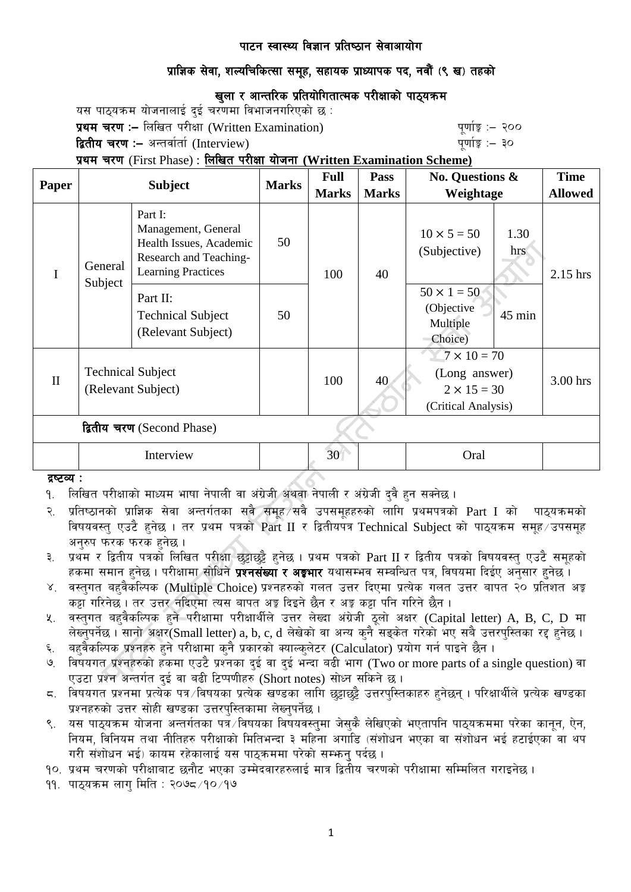# प्राज्ञिक सेवा, शल्यचिकित्सा समूह, सहायक प्राध्यापक पद. नवौं (९ ख) तहको

# खुला र आन्तरिक प्रतियोगितात्मक परीक्षाको पाठ्यक्रम

यस पाठयक्रम योजनालाई दई चरणमा विभाजनगरिएको छ :

प्रथम चरण :- लिखित परीक्षा (Written Examination) x 200 पूर्णाङ्ग :- २००

द्वितीय चरण :– अन्तर्वार्ता (Interview) k and the set of the set of the set of  $q$ णांङ्क :– ३०

प्रथम चरण (First Phase) : लिखित परीक्षा योजना (Written Examination Scheme)

| <b>Paper</b>               | <b>Subject</b>                                 |                                                                                                                  | <b>Marks</b> | <b>Full</b>  | Pass         | <b>No. Questions &amp;</b><br>Weightage                                          |             | <b>Time</b>    |
|----------------------------|------------------------------------------------|------------------------------------------------------------------------------------------------------------------|--------------|--------------|--------------|----------------------------------------------------------------------------------|-------------|----------------|
|                            |                                                |                                                                                                                  |              | <b>Marks</b> | <b>Marks</b> |                                                                                  |             | <b>Allowed</b> |
| I                          | General<br>Subject                             | Part I:<br>Management, General<br>Health Issues, Academic<br>Research and Teaching-<br><b>Learning Practices</b> | 50           | 100          | 40           | $10 \times 5 = 50$<br>(Subjective)                                               | 1.30<br>hrs | 2.15 hrs       |
|                            |                                                | Part II:<br><b>Technical Subject</b><br>(Relevant Subject)                                                       | 50           |              |              | $50 \times 1 = 50$<br>(Objective<br>Multiple<br>Choice)                          | $45$ min    |                |
| $\mathbf{I}$               | <b>Technical Subject</b><br>(Relevant Subject) |                                                                                                                  |              | 100          | 40           | $7 \times 10 = 70$<br>(Long answer)<br>$2 \times 15 = 30$<br>(Critical Analysis) |             | 3.00 hrs       |
| द्वितीय चरण (Second Phase) |                                                |                                                                                                                  |              |              |              |                                                                                  |             |                |
|                            | Interview                                      |                                                                                                                  |              | 30           |              | Oral                                                                             |             |                |

#### द्रष्टव्य :

<u>9. लिखित परीक्षाको माध्यम भाषा नेपाली वा अंग्रेजी अथवा नेपाली र अंग्रेजी दुवै हुन सक्नेछ ।</u>

- २. प्रतिष्ठानको प्राज्ञिक सेवा अन्तर्गतका सबै समूह सबै उपसमूहहरुको लागि प्रथमपत्रको  $\operatorname{Part}$  I को पाठ्यक्रमको विषयवस्त् एउटै हनेछ । तर प्रथम पत्रको Part II र द्वितीयपत्र Technical Subject को पाठ्यक्रम समूह उपसमूह अनुरुप फरक फरक हुनेछ ।
- ३. प्रथम र द्वितीय पत्रको लिखित परीक्षा छट्टाछट्टै हुनेछ । प्रथम पत्रको Part II र द्वितीय पत्रको विषयवस्त् एउटै समूहको हकमा समान हुनेछ । परीक्षामा सोधिने **प्रश्नसंख्या र अङ्गभार** यथासम्भव सम्बन्धित पत्र, विषयमा दिईए अनुसार हुनेछ ।
- ४. वस्तगत बहवैकस्पिक (Multiple Choice) प्रश्नहरुको गलत उत्तर दिएमा प्रत्येक गलत उत्तर बापत २० प्रतिशत अङ्क कड़ा गरिनेछ । तर उत्तर नदिएमा त्यस बापत अड्ड दिइने छैन र अड्ड कड़ा पनि गरिने छैन ।
- ५. वस्तुगत बहुवैकल्पिक हुने परीक्षामा परीक्षार्थीले उत्तर लेख्दा अंग्रेजी ठुलो अक्षर (Capital letter) A, B, C, D मा लेख्नपर्नेछ । सानो अक्षर $\widetilde{\mathsf{S}}$ mall letter) a, b, c, d लेखेको वा अन्य कनै सडकेत गरेको भए सबै उत्तरपस्तिका रद्द हनेछ ।
- ६. वहवैकल्पिक प्रश्नहरु हुने परीक्षामा कुनै प्रकारको क्याल्कुलेटर (Calculator) प्रयोग गर्न पाइने छैन ।
- ७. विषयगत प्रश्नहरुको हकमा एउटै प्रश्नका दई वा दई भन्दा बढी भाग (Two or more parts of a single question) वा एउटा प्रश्न अन्तर्गत दुई वा बढी टिप्पणीहरु (Short notes) सोध्न सकिने छ।
- $\,$  6. विषयगत प्रश्नमा प्रत्येक पत्र /विषयका प्रत्येक खण्डका लागि छट्टाछट्टै उत्तरपुस्तिकाहरु हुनेछन् । परिक्षार्थीले प्रत्येक खण्डका प्रश्नहरुको उत्तर सोही खण्डका उत्तरपस्तिकामा लेख्नुपर्नेछ ।
- ९. यस पाठयक्रम योजना अन्तर्गतका पत्र विषयका विषयवस्तुमा जेसकै लेखिएको भएतापनि पाठुयक्रममा परेका कानुन, ऐन, नियम, विनियम तथा नीतिहरु परीक्षाको मितिभन्दा ३ महिना अगाडि (संशोधन भएका वा संशोधन भई हटाईएका वा थप गरी संशोधन भई) कायम रहेकालाई यस पाठुकममा परेको सम्भन् पर्दछ ।
- <u>१०. प्रथम चरणको परीक्षाबाट छनौट भएका उम्मेदवारहरुलाई मात्र द्वितीय चरणको परीक्षामा सम्मिलित गराइनेछ ।</u>
- $99.$  पाठयक्रम लाग मिति : २०७८ $/90/99$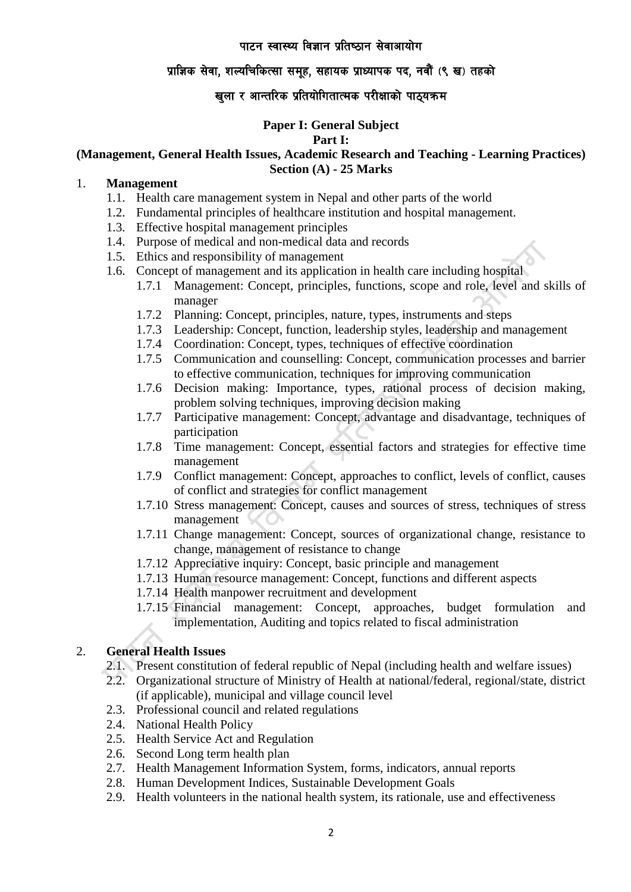## प्राज्ञिक सेवा, शल्यचिकित्सा समुह, सहायक प्राध्यापक पद, नवौं (९ ख) तहको

# खुला र आन्तरिक प्रतियोगितात्मक परीक्षाको पाठ्यक्रम

# **Paper I: General Subject**

#### **Part I:**

## **(Management, General Health Issues, Academic Research and Teaching - Learning Practices) Section (A) - 25 Marks**

# 1. **Management**

- 1.1. Health care management system in Nepal and other parts of the world
- 1.2. Fundamental principles of healthcare institution and hospital management.
- 1.3. Effective hospital management principles
- 1.4. Purpose of medical and non-medical data and records
- 1.5. Ethics and responsibility of management
- 1.6. Concept of management and its application in health care including hospital
	- 1.7.1 Management: Concept, principles, functions, scope and role, level and skills of manager
	- 1.7.2 Planning: Concept, principles, nature, types, instruments and steps
	- 1.7.3 Leadership: Concept, function, leadership styles, leadership and management
	- 1.7.4 Coordination: Concept, types, techniques of effective coordination
	- 1.7.5 Communication and counselling: Concept, communication processes and barrier to effective communication, techniques for improving communication
	- 1.7.6 Decision making: Importance, types, rational process of decision making, problem solving techniques, improving decision making
	- 1.7.7 Participative management: Concept, advantage and disadvantage, techniques of participation
	- 1.7.8 Time management: Concept, essential factors and strategies for effective time management
	- 1.7.9 Conflict management: Concept, approaches to conflict, levels of conflict, causes of conflict and strategies for conflict management
	- 1.7.10 Stress management: Concept, causes and sources of stress, techniques of stress management
	- 1.7.11 Change management: Concept, sources of organizational change, resistance to change, management of resistance to change
	- 1.7.12 Appreciative inquiry: Concept, basic principle and management
	- 1.7.13 Human resource management: Concept, functions and different aspects
	- 1.7.14 Health manpower recruitment and development
	- 1.7.15 Financial management: Concept, approaches, budget formulation and implementation, Auditing and topics related to fiscal administration

# 2. **General Health Issues**

- 2.1. Present constitution of federal republic of Nepal (including health and welfare issues)
- 2.2. Organizational structure of Ministry of Health at national/federal, regional/state, district (if applicable), municipal and village council level
- 2.3. Professional council and related regulations
- 2.4. National Health Policy
- 2.5. Health Service Act and Regulation
- 2.6. Second Long term health plan
- 2.7. Health Management Information System, forms, indicators, annual reports
- 2.8. Human Development Indices, Sustainable Development Goals
- 2.9. Health volunteers in the national health system, its rationale, use and effectiveness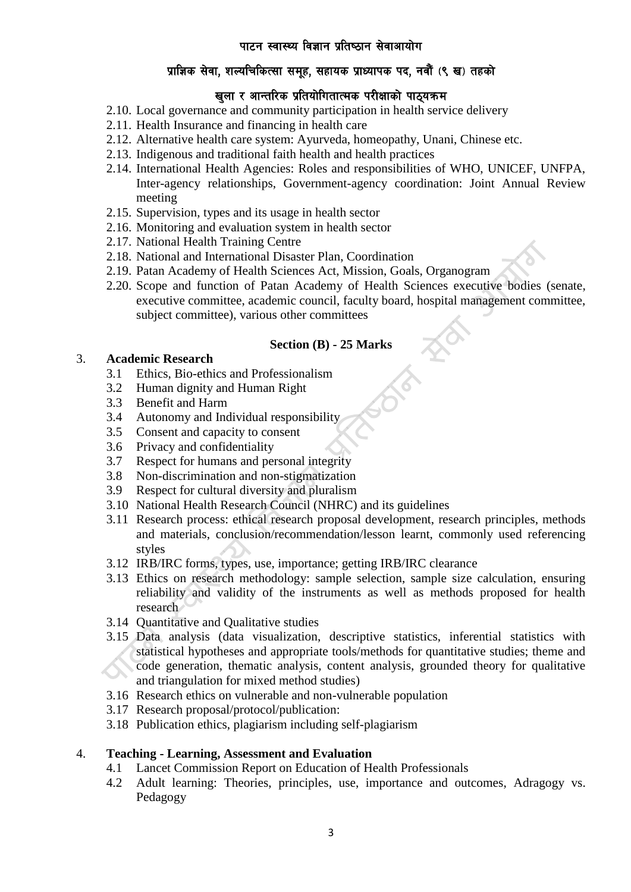# प्राज्ञिक सेवा, शल्यचिकित्सा समुह, सहायक प्राध्यापक पद, नवौं (९ ख) तहको

# खला र आन्तरिक प्रतियोगितात्मक परीक्षाको पाठयक्रम

- 2.10. Local governance and community participation in health service delivery
- 2.11. Health Insurance and financing in health care
- 2.12. Alternative health care system: Ayurveda, homeopathy, Unani, Chinese etc.
- 2.13. Indigenous and traditional faith health and health practices
- 2.14. International Health Agencies: Roles and responsibilities of WHO, UNICEF, UNFPA, Inter-agency relationships, Government-agency coordination: Joint Annual Review meeting
- 2.15. Supervision, types and its usage in health sector
- 2.16. Monitoring and evaluation system in health sector
- 2.17. National Health Training Centre
- 2.18. National and International Disaster Plan, Coordination
- 2.19. Patan Academy of Health Sciences Act, Mission, Goals, Organogram
- 2.20. Scope and function of Patan Academy of Health Sciences executive bodies (senate, executive committee, academic council, faculty board, hospital management committee, subject committee), various other committees

## **Section (B) - 25 Marks**

## 3. **Academic Research**

- 3.1 Ethics, Bio-ethics and Professionalism
- 3.2 Human dignity and Human Right
- 3.3 Benefit and Harm
- 3.4 Autonomy and Individual responsibility
- 3.5 Consent and capacity to consent
- 3.6 Privacy and confidentiality
- 3.7 Respect for humans and personal integrity
- 3.8 Non-discrimination and non-stigmatization
- 3.9 Respect for cultural diversity and pluralism
- 3.10 National Health Research Council (NHRC) and its guidelines
- 3.11 Research process: ethical research proposal development, research principles, methods and materials, conclusion/recommendation/lesson learnt, commonly used referencing styles
- 3.12 IRB/IRC forms, types, use, importance; getting IRB/IRC clearance
- 3.13 Ethics on research methodology: sample selection, sample size calculation, ensuring reliability and validity of the instruments as well as methods proposed for health research
- 3.14 Quantitative and Qualitative studies
- 3.15 Data analysis (data visualization, descriptive statistics, inferential statistics with statistical hypotheses and appropriate tools/methods for quantitative studies; theme and code generation, thematic analysis, content analysis, grounded theory for qualitative and triangulation for mixed method studies)
- 3.16 Research ethics on vulnerable and non-vulnerable population
- 3.17 Research proposal/protocol/publication:
- 3.18 Publication ethics, plagiarism including self-plagiarism

#### 4. **Teaching - Learning, Assessment and Evaluation**

- 4.1 Lancet Commission Report on Education of Health Professionals
- 4.2 Adult learning: Theories, principles, use, importance and outcomes, Adragogy vs. Pedagogy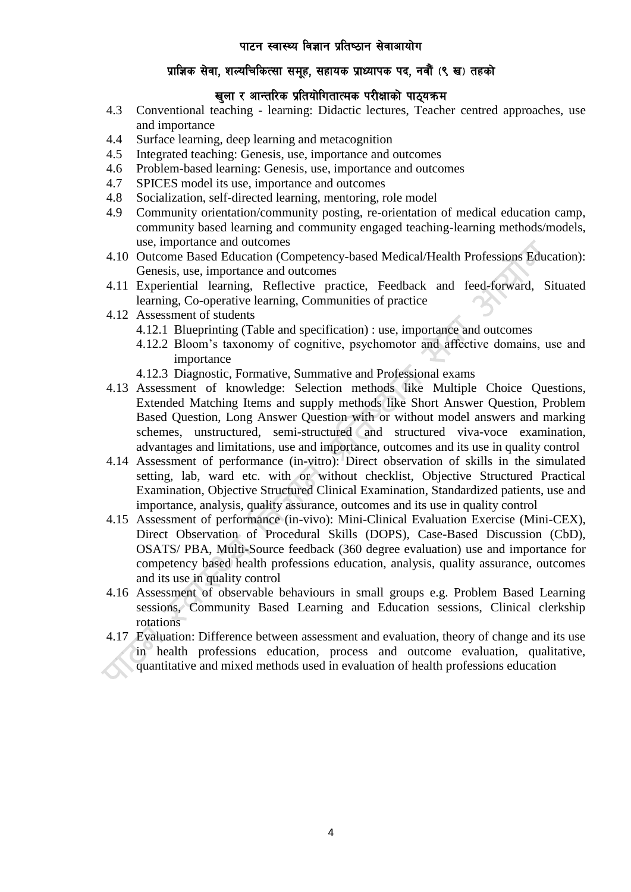# प्राज्ञिक सेवा, शल्यचिकित्सा समुह, सहायक प्राध्यापक पद, नवौं (९ ख) तहको

# खला र आन्तरिक प्रतियोगितात्मक परीक्षाको पाठयक्रम

- 4.3 Conventional teaching learning: Didactic lectures, Teacher centred approaches, use and importance
- 4.4 Surface learning, deep learning and metacognition
- 4.5 Integrated teaching: Genesis, use, importance and outcomes
- 4.6 Problem-based learning: Genesis, use, importance and outcomes
- 4.7 SPICES model its use, importance and outcomes
- 4.8 Socialization, self-directed learning, mentoring, role model
- 4.9 Community orientation/community posting, re-orientation of medical education camp, community based learning and community engaged teaching-learning methods/models, use, importance and outcomes
- 4.10 Outcome Based Education (Competency-based Medical/Health Professions Education): Genesis, use, importance and outcomes
- 4.11 Experiential learning, Reflective practice, Feedback and feed-forward, Situated learning, Co-operative learning, Communities of practice
- 4.12 Assessment of students
	- 4.12.1 Blueprinting (Table and specification) : use, importance and outcomes
	- 4.12.2 Bloom's taxonomy of cognitive, psychomotor and affective domains, use and importance
	- 4.12.3 Diagnostic, Formative, Summative and Professional exams
- 4.13 Assessment of knowledge: Selection methods like Multiple Choice Questions, Extended Matching Items and supply methods like Short Answer Question, Problem Based Question, Long Answer Question with or without model answers and marking schemes, unstructured, semi-structured and structured viva-voce examination, advantages and limitations, use and importance, outcomes and its use in quality control
- 4.14 Assessment of performance (in-vitro): Direct observation of skills in the simulated setting, lab, ward etc. with or without checklist, Objective Structured Practical Examination, Objective Structured Clinical Examination, Standardized patients, use and importance, analysis, quality assurance, outcomes and its use in quality control
- 4.15 Assessment of performance (in-vivo): Mini-Clinical Evaluation Exercise (Mini-CEX), Direct Observation of Procedural Skills (DOPS), Case-Based Discussion (CbD), OSATS/ PBA, Multi-Source feedback (360 degree evaluation) use and importance for competency based health professions education, analysis, quality assurance, outcomes and its use in quality control
- 4.16 Assessment of observable behaviours in small groups e.g. Problem Based Learning sessions, Community Based Learning and Education sessions, Clinical clerkship rotations
- 4.17 Evaluation: Difference between assessment and evaluation, theory of change and its use in health professions education, process and outcome evaluation, qualitative, quantitative and mixed methods used in evaluation of health professions education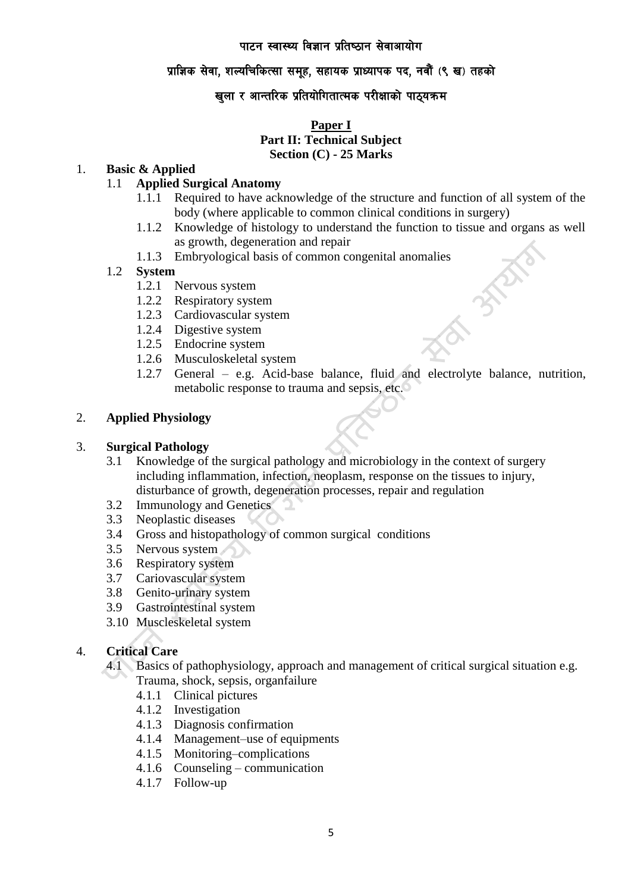## प्राज्ञिक सेवा, शल्यचिकित्सा समुह, सहायक प्राध्यापक पद, नवौं (९ ख) तहको

# खुला र आन्तरिक प्रतियोगितात्मक परीक्षाको पाठ्यक्रम

## **Paper I Part II: Technical Subject Section (C) - 25 Marks**

## 1. **Basic & Applied**

## 1.1 **Applied Surgical Anatomy**

- 1.1.1 Required to have acknowledge of the structure and function of all system of the body (where applicable to common clinical conditions in surgery)
- 1.1.2 Knowledge of histology to understand the function to tissue and organs as well as growth, degeneration and repair
- 1.1.3 Embryological basis of common congenital anomalies

#### 1.2 **System**

- 1.2.1 Nervous system
- 1.2.2 Respiratory system
- 1.2.3 Cardiovascular system
- 1.2.4 Digestive system
- 1.2.5 Endocrine system
- 1.2.6 Musculoskeletal system
- 1.2.7 General e.g. Acid-base balance, fluid and electrolyte balance, nutrition, metabolic response to trauma and sepsis, etc.

#### 2. **Applied Physiology**

### 3. **Surgical Pathology**

- 3.1 Knowledge of the surgical pathology and microbiology in the context of surgery including inflammation, infection, neoplasm, response on the tissues to injury, disturbance of growth, degeneration processes, repair and regulation
- 3.2 Immunology and Genetics
- 3.3 Neoplastic diseases
- 3.4 Gross and histopathology of common surgical conditions
- 3.5 Nervous system
- 3.6 Respiratory system
- 3.7 Cariovascular system
- 3.8 Genito-urinary system
- 3.9 Gastrointestinal system
- 3.10 Muscleskeletal system

## 4. **Critical Care**

- 4.1 Basics of pathophysiology, approach and management of critical surgical situation e.g. Trauma, shock, sepsis, organfailure
	- 4.1.1 Clinical pictures
	- 4.1.2 Investigation
	- 4.1.3 Diagnosis confirmation
	- 4.1.4 Management–use of equipments
	- 4.1.5 Monitoring–complications
	- 4.1.6 Counseling communication
	- 4.1.7 Follow-up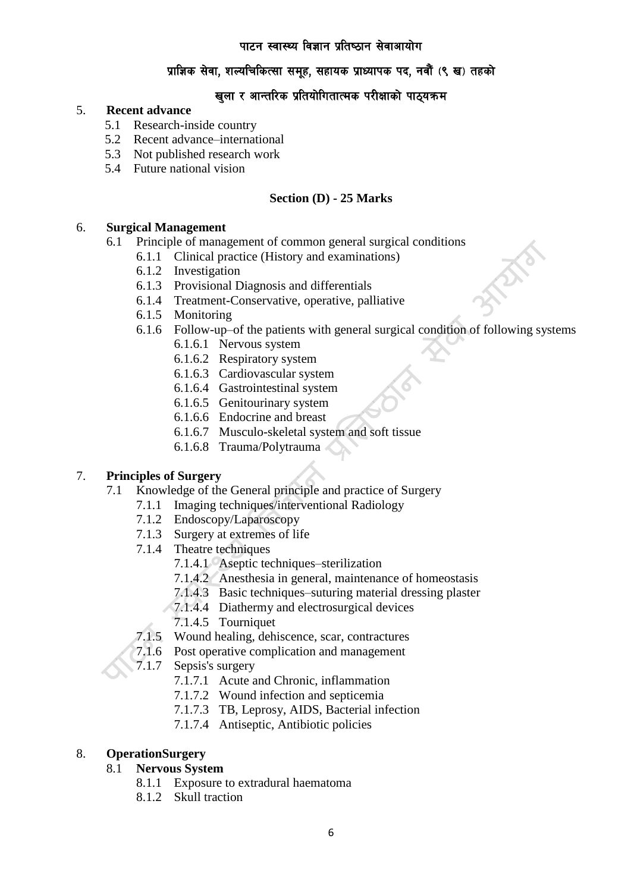# प्राज्ञिक सेवा, शल्यचिकित्सा समुह, सहायक प्राध्यापक पद, नवौं (९ ख) तहको

# खुला र आन्तरिक प्रतियोगितात्मक परीक्षाको पाठ्यक्रम

## 5. **Recent advance**

- 5.1 Research-inside country
- 5.2 Recent advance–international
- 5.3 Not published research work
- 5.4 Future national vision

## **Section (D) - 25 Marks**

## 6. **Surgical Management**

- 6.1 Principle of management of common general surgical conditions
	- 6.1.1 Clinical practice (History and examinations)
	- 6.1.2 Investigation
	- 6.1.3 Provisional Diagnosis and differentials
	- 6.1.4 Treatment-Conservative, operative, palliative
	- 6.1.5 Monitoring
	- 6.1.6 Follow-up–of the patients with general surgical condition of following systems
		- 6.1.6.1 Nervous system
		- 6.1.6.2 Respiratory system
		- 6.1.6.3 Cardiovascular system
		- 6.1.6.4 Gastrointestinal system
		- 6.1.6.5 Genitourinary system
		- 6.1.6.6 Endocrine and breast
		- 6.1.6.7 Musculo-skeletal system and soft tissue
		- 6.1.6.8 Trauma/Polytrauma

## 7. **Principles of Surgery**

- 7.1 Knowledge of the General principle and practice of Surgery
	- 7.1.1 Imaging techniques/interventional Radiology
	- 7.1.2 Endoscopy/Laparoscopy
	- 7.1.3 Surgery at extremes of life
	- 7.1.4 Theatre techniques
		- 7.1.4.1 Aseptic techniques–sterilization
		- 7.1.4.2 Anesthesia in general, maintenance of homeostasis
		- 7.1.4.3 Basic techniques–suturing material dressing plaster
		- 7.1.4.4 Diathermy and electrosurgical devices
		- 7.1.4.5 Tourniquet
	- 7.1.5 Wound healing, dehiscence, scar, contractures
	- 7.1.6 Post operative complication and management
	- 7.1.7 Sepsis's surgery
		- 7.1.7.1 Acute and Chronic, inflammation
		- 7.1.7.2 Wound infection and septicemia
		- 7.1.7.3 TB, Leprosy, AIDS, Bacterial infection
		- 7.1.7.4 Antiseptic, Antibiotic policies

## 8. **OperationSurgery**

#### 8.1 **Nervous System**

- 8.1.1 Exposure to extradural haematoma
- 8.1.2 Skull traction